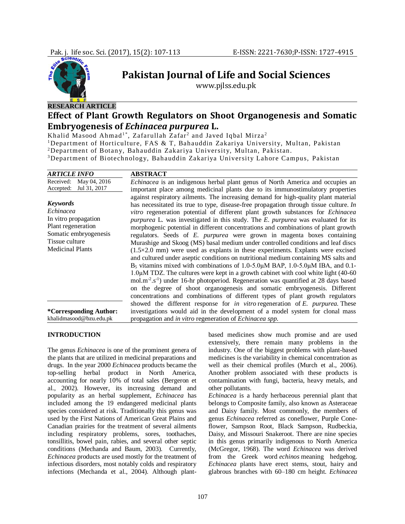

# **Pakistan Journal of Life and Social Sciences**

www.pjlss.edu.pk

## **Effect of Plant Growth Regulators on Shoot Organogenesis and Somatic Embryogenesis of** *Echinacea purpurea* **L.**

Khalid Masood Ahmad $^{1\ast},$  Zafarullah Zafar $^2$  and Javed Iqbal Mirza $^2$ 

<sup>1</sup>Department of Horticulture, FAS & T, Bahauddin Zakariya University, Multan, Pakistan

<sup>2</sup>Department of Botany, Bahauddin Zakariya University, Multan, Pakistan.

<sup>3</sup>Department of Biotechnology, Bahauddin Zakariya University Lahore Campus, Pakistan

| <b>ARTICLE INFO</b>                                                                                                                              | <b>ABSTRACT</b>                                                                                                                                                                                                                                                                                                                                                                                                                                                                                                                                                                                                                                                                                                                                                                                                                                                                                                                                                                                                                                                                                                                                                                                                                                                |
|--------------------------------------------------------------------------------------------------------------------------------------------------|----------------------------------------------------------------------------------------------------------------------------------------------------------------------------------------------------------------------------------------------------------------------------------------------------------------------------------------------------------------------------------------------------------------------------------------------------------------------------------------------------------------------------------------------------------------------------------------------------------------------------------------------------------------------------------------------------------------------------------------------------------------------------------------------------------------------------------------------------------------------------------------------------------------------------------------------------------------------------------------------------------------------------------------------------------------------------------------------------------------------------------------------------------------------------------------------------------------------------------------------------------------|
| Received:<br>May 04, 2016<br>Jul 31, 2017<br>Accepted:                                                                                           | <i>Echinacea</i> is an indigenous herbal plant genus of North America and occupies an<br>important place among medicinal plants due to its immunostimulatory properties                                                                                                                                                                                                                                                                                                                                                                                                                                                                                                                                                                                                                                                                                                                                                                                                                                                                                                                                                                                                                                                                                        |
| <b>Keywords</b><br>Echinacea<br>In vitro propagation<br>Plant regeneration<br>Somatic embryogenesis<br>Tissue culture<br><b>Medicinal Plants</b> | against respiratory ailments. The increasing demand for high-quality plant material<br>has necessitated its true to type, disease-free propagation through tissue culture. In<br>vitro regeneration potential of different plant growth substances for Echinacea<br>purpurea L. was investigated in this study. The E. purpurea was evaluated for its<br>morphogenic potential in different concentrations and combinations of plant growth<br>regulators. Seeds of E. purpurea were grown in magenta boxes containing<br>Murashige and Skoog (MS) basal medium under controlled conditions and leaf discs<br>$(1.5 \times 2.0$ mm) were used as explants in these experiments. Explants were excised<br>and cultured under aseptic conditions on nutritional medium containing MS salts and<br>B <sub>5</sub> vitamins mixed with combinations of 1.0-5.0μM BAP, 1.0-5.0μM IBA, and 0.1-<br>1.0μM TDZ. The cultures were kept in a growth cabinet with cool white light (40-60)<br>mol.m <sup>-2</sup> .s <sup>-1</sup> ) under 16-hr photoperiod. Regeneration was quantified at 28 days based<br>on the degree of shoot organogenesis and somatic embryogenesis. Different<br>concentrations and combinations of different types of plant growth regulators |
| *Corresponding Author:<br>khalidmasood@bzu.edu.pk                                                                                                | showed the different response for in vitro regeneration of $E$ . purpurea. These<br>investigations would aid in the development of a model system for clonal mass<br>propagation and in vitro regeneration of Echinacea spp.                                                                                                                                                                                                                                                                                                                                                                                                                                                                                                                                                                                                                                                                                                                                                                                                                                                                                                                                                                                                                                   |

## **INTRODUCTION**

The genus *Echinacea* is one of the prominent genera of the plants that are utilized in medicinal preparations and drugs. In the year 2000 *Echinacea* products became the top-selling herbal product in North America, accounting for nearly 10% of total sales (Bergeron et al., 2002). However, its increasing demand and popularity as an herbal supplement, *Echinacea* has included among the 19 endangered medicinal plants species considered at risk. Traditionally this genus was used by the First Nations of American Great Plains and Canadian prairies for the treatment of several ailments including respiratory problems, sores, toothaches, tonsillitis, bowel pain, rabies, and several other septic conditions (Mechanda and Baum, 2003). Currently, *Echinacea* products are used mostly for the treatment of infectious disorders, most notably colds and respiratory infections (Mechanda et al., 2004). Although plantbased medicines show much promise and are used extensively, there remain many problems in the industry. One of the biggest problems with plant-based medicines is the variability in chemical concentration as well as their chemical profiles (Murch et al., 2006). Another problem associated with these products is contamination with fungi, bacteria, heavy metals, and other pollutants.

*Echinacea* is a hardy herbaceous perennial plant that belongs to Composite family, also known as Asteraceae and Daisy family. Most commonly, the members of genus *Echinacea* referred as coneflower, Purple Coneflower, Sampson Root, Black Sampson, Rudbeckia, Daisy, and Missouri Snakeroot. There are nine species in this genus primarily indigenous to North America (McGregor, 1968). The word *Echinacea* was derived from the Greek word *echinos* meaning hedgehog. *Echinacea* plants have erect stems, stout, hairy and glabrous branches with 60–180 cm height. *Echinacea*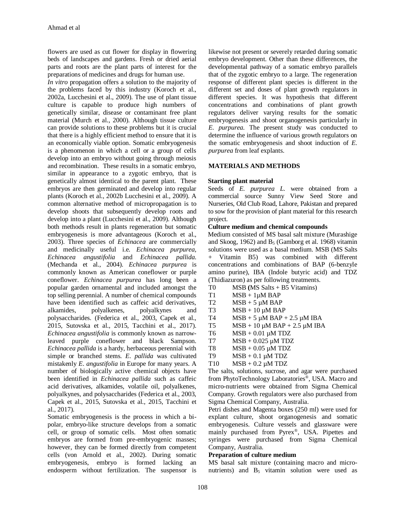flowers are used as cut flower for display in flowering beds of landscapes and gardens. Fresh or dried aerial parts and roots are the plant parts of interest for the preparations of medicines and drugs for human use.

*In vitro* propagation offers a solution to the majority of the problems faced by this industry (Koroch et al., 2002a, Lucchesini et al., 2009). The use of plant tissue culture is capable to produce high numbers of genetically similar, disease or contaminant free plant material (Murch et al., 2000). Although tissue culture can provide solutions to these problems but it is crucial that there is a highly efficient method to ensure that it is an economically viable option. Somatic embryogenesis is a phenomenon in which a cell or a group of cells develop into an embryo without going through meiosis and recombination. These results in a somatic embryo, similar in appearance to a zygotic embryo, that is genetically almost identical to the parent plant. These embryos are then germinated and develop into regular plants (Koroch et al., 2002b Lucchesini et al., 2009). A common alternative method of micropropagation is to develop shoots that subsequently develop roots and develop into a plant (Lucchesini et al., 2009). Although both methods result in plants regeneration but somatic embryogenesis is more advantageous (Koroch et al., 2003). Three species of *Echinacea* are commercially and medicinally useful i.e. *Echinacea purpurea*, *Echinacea angustifolia* and *Echinacea pallida*. (Mechanda et al., 2004). *Echinacea purpurea* is commonly known as American coneflower or purple coneflower. *Echinacea purpurea* has long been a popular garden ornamental and included amongst the top selling perennial. A number of chemical compounds have been identified such as caffeic acid derivatives, alkamides, polyalkenes, polyalkynes and polysaccharides. (Federica et al., 2003, Capek et al., 2015, Sutovska et al., 2015, Tacchini et al., 2017). *Echinacea angustifolia* is commonly known as narrowleaved purple coneflower and black Sampson. *Echinacea pallida* is a hardy, herbaceous perennial with simple or branched stems. *E. pallida* was cultivated mistakenly *E*. *angustifolia* in Europe for many years. A number of biologically active chemical objects have been identified in *Echinacea pallida* such as caffeic acid derivatives, alkamides, volatile oil, polyalkenes, polyalkynes, and polysaccharides (Federica et al., 2003, Capek et al., 2015, Sutovska et al., 2015, Tacchini et al., 2017).

Somatic embryogenesis is the process in which a bipolar, embryo-like structure develops from a somatic cell, or group of somatic cells. Most often somatic embryos are formed from pre-embryogenic masses; however, they can be formed directly from competent cells (von Arnold et al., 2002). During somatic embryogenesis, embryo is formed lacking an endosperm without fertilization. The suspensor is

likewise not present or severely retarded during somatic embryo development. Other than these differences, the developmental pathway of a somatic embryo parallels that of the zygotic embryo to a large. The regeneration response of different plant species is different in the different set and doses of plant growth regulators in different species. It was hypothesis that different concentrations and combinations of plant growth regulators deliver varying results for the somatic embryogenesis and shoot organogenesis particularly in *E. purpurea.* The present study was conducted to determine the influence of various growth regulators on the somatic embryogenesis and shoot induction of *E. purpurea* from leaf explants.

## **MATERIALS AND METHODS**

#### **Starting plant material**

Seeds of *E. purpurea L*. were obtained from a commercial source Sunny View Seed Store and Nurseries, Old Club Road, Lahore, Pakistan and prepared to sow for the provision of plant material for this research project.

#### **Culture medium and chemical compounds**

Medium consisted of MS basal salt mixture (Murashige and Skoog, 1962) and  $B_5$  (Gamborg et al. 1968) vitamin solutions were used as a basal medium. MSB (MS Salts + Vitamin B5) was combined with different concentrations and combinations of BAP (6-benzyle amino purine), IBA (Indole butyric acid) and TDZ (Thidiazuron) as per following treatments.

- T0 MSB **(**MS Salts + B5 Vitamins)
- $T1$  MSB + 1 $\mu$ M BAP
- T2  $MSB + 5 \mu M BAP$
- T3  $MSB + 10 \mu M BAP$
- T4  $MSB + 5 \mu M BAP + 2.5 \mu M IBA$
- T5  $MSB + 10 \mu M BAP + 2.5 \mu M IBA$
- T6  $MSB + 0.01 \mu M T DZ$
- T7  $MSB + 0.025 \mu M T DZ$
- T8  $MSB + 0.05 \mu M T DZ$
- T9  $MSB + 0.1 \mu M T DZ$
- T10  $MSB + 0.2 \mu M T DZ$

The salts, solutions, sucrose, and agar were purchased from PhytoTechnology Laboratories®, USA. Macro and micro-nutrients were obtained from Sigma Chemical Company. Growth regulators were also purchased from Sigma Chemical Company, Australia.

Petri dishes and Magenta boxes (250 ml) were used for explant culture, shoot organogenesis and somatic embryogenesis. Culture vessels and glassware were mainly purchased from Pyrex®, USA. Pipettes and syringes were purchased from Sigma Chemical Company, Australia.

#### **Preparation of culture medium**

MS basal salt mixture (containing macro and micronutrients) and  $B_5$  vitamin solution were used as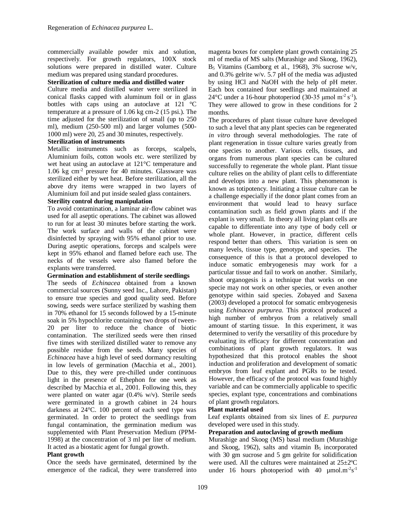commercially available powder mix and solution, respectively. For growth regulators, 100X stock solutions were prepared in distilled water. Culture medium was prepared using standard procedures.

#### **Sterilization of culture media and distilled water**

Culture media and distilled water were sterilized in conical flasks capped with aluminum foil or in glass bottles with caps using an autoclave at 121 °C temperature at a pressure of 1.06 kg cm-2 (15 psi.). The time adjusted for the sterilization of small (up to 250 ml), medium (250-500 ml) and larger volumes (500- 1000 ml) were 20, 25 and 30 minutes, respectively.

## **Sterilization of instruments**

Metallic instruments such as forceps, scalpels, Aluminium foils, cotton wools etc. were sterilized by wet heat using an autoclave at 121°C temperature and 1.06 kg cm-2 pressure for 40 minutes. Glassware was sterilized either by wet heat. Before sterilization, all the above dry items were wrapped in two layers of Aluminium foil and put inside sealed glass containers.

## **Sterility control during manipulation**

To avoid contamination, a laminar air-flow cabinet was used for all aseptic operations. The cabinet was allowed to run for at least 30 minutes before starting the work. The work surface and walls of the cabinet were disinfected by spraying with 95% ethanol prior to use. During aseptic operations, forceps and scalpels were kept in 95% ethanol and flamed before each use. The necks of the vessels were also flamed before the explants were transferred.

## **Germination and establishment of sterile seedlings**

The seeds of *Echinacea* obtained from a known commercial sources (Sunny seed Inc., Lahore, Pakistan) to ensure true species and good quality seed. Before sowing, seeds were surface sterilized by washing them in 70% ethanol for 15 seconds followed by a 15-minute soak in 5% hypochlorite containing two drops of tween-20 per liter to reduce the chance of biotic contamination. The sterilized seeds were then rinsed five times with sterilized distilled water to remove any possible residue from the seeds. Many species of *Echinacea* have a high level of seed dormancy resulting in low levels of germination (Macchia et al., 2001). Due to this, they were pre-chilled under continuous light in the presence of Ethephon for one week as described by Macchia et al., 2001. Following this, they were planted on water agar (0.4% w/v). Sterile seeds were germinated in a growth cabinet in 24 hours darkness at 24°C. 100 percent of each seed type was germinated. In order to protect the seedlings from fungal contamination, the germination medium was supplemented with Plant Preservation Medium (PPM-1998) at the concentration of 3 ml per liter of medium. It acted as a biostatic agent for fungal growth.

## **Plant growth**

Once the seeds have germinated, determined by the emergence of the radical, they were transferred into

magenta boxes for complete plant growth containing 25 ml of media of MS salts (Murashige and Skoog, 1962), B<sup>5</sup> Vitamins (Gamborg et al., 1968), 3% sucrose w/v, and 0.3% gelrite w/v. 5.7 pH of the media was adjusted by using HCl and NaOH with the help of pH meter. Each box contained four seedlings and maintained at 24 °C under a 16-hour photoperiod (30-35 µmol m<sup>-2</sup> s<sup>-1</sup>). They were allowed to grow in these conditions for 2 months.

The procedures of plant tissue culture have developed to such a level that any plant species can be regenerated *in vitro* through several methodologies. The rate of plant regeneration in tissue culture varies greatly from one species to another. Various cells, tissues, and organs from numerous plant species can be cultured successfully to regenerate the whole plant. Plant tissue culture relies on the ability of plant cells to differentiate and develops into a new plant. This phenomenon is known as totipotency. Initiating a tissue culture can be a challenge especially if the donor plant comes from an environment that would lead to heavy surface contamination such as field grown plants and if the explant is very small. In theory all living plant cells are capable to differentiate into any type of body cell or whole plant. However, in practice, different cells respond better than others. This variation is seen on many levels, tissue type, genotype, and species. The consequence of this is that a protocol developed to induce somatic embryogenesis may work for a particular tissue and fail to work on another. Similarly, shoot organogesis is a technique that works on one specie may not work on other species, or even another genotype within said species. Zobayed and Saxena (2003) developed a protocol for somatic embryogenesis using *Echinacea purpurea*. This protocol produced a high number of embryos from a relatively small amount of starting tissue. In this experiment, it was determined to verify the versatility of this procedure by evaluating its efficacy for different concentration and combinations of plant growth regulators. It was hypothesized that this protocol enables the shoot induction and proliferation and development of somatic embryos from leaf explant and PGRs to be tested. However, the efficacy of the protocol was found highly variable and can be commercially applicable to specific species, explant type, concentrations and combinations of plant growth regulators.

## **Plant material used**

Leaf explants obtained from six lines of *E. purpurea*  developed were used in this study.

## **Preparation and autoclaving of growth medium**

Murashige and Skoog (MS) basal medium (Murashige and Skoog, 1962), salts and vitamin  $B_5$  incorporated with 30 gm sucrose and 5 gm gelrite for solidification were used. All the cultures were maintained at 25±2ºC under 16 hours photoperiod with 40  $\mu$ mol.m<sup>-2</sup>s<sup>-1</sup>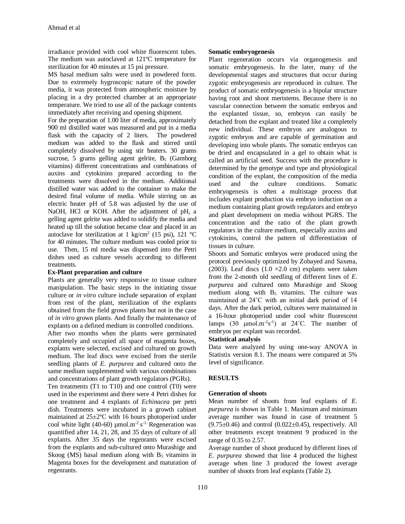irradiance provided with cool white fluorescent tubes. The medium was autoclaved at 121ºC temperature for sterilization for 40 minutes at 15 psi pressure.

MS basal medium salts were used in powdered form. Due to extremely hygroscopic nature of the powder media, it was protected from atmospheric moisture by placing in a dry protected chamber at an appropriate temperature. We tried to use all of the package contents immediately after receiving and opening shipment.

For the preparation of 1.00 liter of media, approximately 900 ml distilled water was measured and put in a media flask with the capacity of 2 liters. The powdered medium was added to the flask and stirred until completely dissolved by using stir heaters. 30 grams sucrose, 5 grams gelling agent gelrite,  $B_5$  (Gamborg vitamins) different concentrations and combinations of auxins and cytokinins prepared according to the treatments were dissolved in the medium. Additional distilled water was added to the container to make the desired final volume of media. While stirring on an electric heater pH of 5.8 was adjusted by the use of NaOH, HCl or KOH. After the adjustment of pH, a gelling agent gelrite was added to solidify the media and heated up till the solution became clear and placed in an autoclave for sterilization at 1 kg/cm<sup>2</sup> (15 psi), 121 °C for 40 minutes. The culture medium was cooled prior to use. Then, 15 ml media was dispensed into the Petri dishes used as culture vessels according to different treatments.

#### **Ex-Plant preparation and culture**

Plants are generally very responsive to tissue culture manipulation. The basic steps in the initiating tissue culture or *in vitro* culture include separation of explant from rest of the plant, sterilization of the explants obtained from the field grown plants but not in the case of *in vitro* grown plants. And finally the maintenance of explants on a defined medium in controlled conditions. After two months when the plants were germinated completely and occupied all space of magenta boxes, explants were selected, excised and cultured on growth medium. The leaf discs were excised from the sterile seedling plants of *E. purpurea* and cultured onto the same medium supplemented with various combinations and concentrations of plant growth regulators (PGRs).

Ten treatments (T1 to T10) and one control (T0) were used in the experiment and there were 4 Petri dishes for one treatment and 4 explants of *Echinacea* per petri dish. Treatments were incubated in a growth cabinet maintained at 25±2ºC with 16 hours photoperiod under cool white light (40-60)  $\mu$ mol.m<sup>-2</sup> s<sup>-1.</sup> Regeneration was quantified after 14, 21, 28, and 35 days of culture of all explants. After 35 days the regenrants were excised from the explants and sub-cultured onto Murashige and Skoog (MS) basal medium along with  $B_5$  vitamins in Magenta boxes for the development and maturation of regenrants.

#### **Somatic embryogenesis**

Plant regeneration occurs via organogenesis and somatic embryogenesis. In the later, many of the developmental stages and structures that occur during zygotic embryogenesis are reproduced in culture. The product of somatic embryogenesis is a bipolar structure having root and shoot meristems. Because there is no vascular connection between the somatic embryos and the explanted tissue, so, embryos can easily be detached from the explant and treated like a completely new individual. These embryos are analogous to zygotic embryos and are capable of germination and developing into whole plants. The somatic embryos can be dried and encapsulated in a gel to obtain what is called an artificial seed. Success with the procedure is determined by the genotype and type and physiological condition of the explant, the composition of the media used and the culture conditions. Somatic embryogenesis is often a multistage process that includes explant production via embryo induction on a medium containing plant growth regulators and embryo and plant development on media without PGRS. The concentration and the ratio of the plant growth regulators in the culture medium, especially auxins and cytokinins, control the pattern of differentiation of tissues in culture.

Shoots and Somatic embryos were produced using the protocol previously optimized by Zobayed and Saxena, (2003). Leaf discs  $(1.0 \times 2.0 \text{ cm})$  explants were taken from the 2-month old seedling of different lines of *E. purpurea* and cultured onto Murashige and Skoog medium along with  $B_5$  vitamins. The culture was maintained at 24˚C with an initial dark period of 14 days. After the dark period, cultures were maintained in a 16-hour photoperiod under cool white fluorescent lamps  $(30 \text{µmol.m}^{-2} \text{s}^{-1})$  at  $24^{\circ} \text{C}$ . The number of embryos per explant was recorded.

## **Statistical analysis**

Data were analyzed by using one-way ANOVA in Statistix version 8.1. The means were compared at 5% level of significance.

## **RESULTS**

## **Generation of shoots**

Mean number of shoots from leaf explants of *E. purpurea* is shown in Table 1. Maximum and minimum average number was found in case of treatment 5  $(9.75\pm0.46)$  and control  $(0.022\pm0.45)$ , respectively. All other treatments except treatment 9 produced in the range of 0.35 to 2.57.

Average number of shoot produced by different lines of *E. purpurea* showed that line 4 produced the highest average when line 3 produced the lowest average number of shoots from leaf explants (Table 2).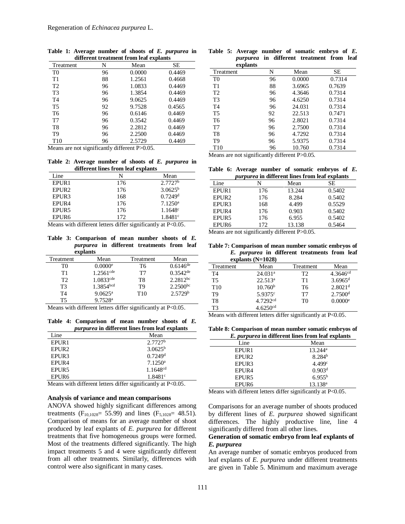| <b>Treatment</b> | N  | Mean   | SЕ     |
|------------------|----|--------|--------|
| T <sub>0</sub>   | 96 | 0.0000 | 0.4469 |
| T1               | 88 | 1.2561 | 0.4668 |
| T <sub>2</sub>   | 96 | 1.0833 | 0.4469 |
| T <sub>3</sub>   | 96 | 1.3854 | 0.4469 |
| T <sub>4</sub>   | 96 | 9.0625 | 0.4469 |
| T5               | 92 | 9.7528 | 0.4565 |
| T <sub>6</sub>   | 96 | 0.6146 | 0.4469 |
| T7               | 96 | 0.3542 | 0.4469 |
| T <sub>8</sub>   | 96 | 2.2812 | 0.4469 |
| T9               | 96 | 2.2500 | 0.4469 |
| T <sub>10</sub>  | 96 | 2.5729 | 0.4469 |

**Table 1: Average number of shoots of** *E. purpurea* **in different treatment from leaf explants**

Means are not significantly different P>0.05.

**Table 2: Average number of shoots of** *E. purpurea* **in different lines from leaf explants**

| Line              | N   | Mean                  |
|-------------------|-----|-----------------------|
| EPUR1             | 176 | 2.7727 <sup>b</sup>   |
| EPUR <sub>2</sub> | 176 | $3.0625^{\rm b}$      |
| EPUR3             | 168 | $0.7249$ <sup>d</sup> |
| EPUR4             | 176 | $7.1250^a$            |
| EPUR5             | 176 | $1.1648^{\circ}$      |
| EPUR <sub>6</sub> | 172 | 1.8481c               |

Means with different letters differ significantly at P<0.05.

**Table 3: Comparison of mean number shoots of** *E. purpurea* **in different treatments from leaf explants**

| Treatment      | Mean                    | Treatment       | Mean                 |
|----------------|-------------------------|-----------------|----------------------|
| T0             | $0.0000$ <sup>e</sup>   | T6              | $0.6146^{de}$        |
| T1             | $1.2561$ <sup>cde</sup> | T7              | $0.3542^{\text{de}}$ |
| T2             | $1.0833$ <sup>cde</sup> | T8              | $2.2812^{bc}$        |
| T3             | 1.3854 <sup>bcd</sup>   | T <sub>9</sub>  | $2.2500^{bc}$        |
| T <sub>4</sub> | $9.0625^{\mathrm{a}}$   | T <sub>10</sub> | 2.5729 <sup>b</sup>  |
| т5             | $9.7528$ <sup>a</sup>   |                 |                      |

Means with different letters differ significantly at P<0.05.

**Table 4: Comparison of mean number shoots of** *E. purpurea* **in different lines from leaf explants**

| Line              | Mean                  |
|-------------------|-----------------------|
| EPUR1             | $2.7727^b$            |
| EPUR <sub>2</sub> | $3.0625^{\rm b}$      |
| EPUR3             | $0.7249$ <sup>d</sup> |
| EPUR4             | $7.1250^a$            |
| EPUR5             | $1.1648^{cd}$         |
| EPUR6             | 1.8481c               |

Means with different letters differ significantly at P<0.05.

#### **Analysis of variance and mean comparisons**

ANOVA showed highly significant differences among treatments ( $F_{10,1028}$  = 55.99) and lines ( $F_{5,1028}$  = 48.51). Comparison of means for an average number of shoot produced by leaf explants of *E. purpurea* for different treatments that five homogeneous groups were formed. Most of the treatments differed significantly. The high impact treatments 5 and 4 were significantly different from all other treatments. Similarly, differences with control were also significant in many cases.

| explants       |    | <i>purpurea</i> in different treatment from | leaf   |
|----------------|----|---------------------------------------------|--------|
| Treatment      | N  | Mean                                        | SЕ     |
| T <sub>0</sub> | 96 | 0.0000                                      | 0.7314 |
| T1             | 88 | 3.6965                                      | 0.7639 |
| T <sub>2</sub> | 96 | 4.3646                                      | 0.7314 |
| T <sub>3</sub> | 96 | 4.6250                                      | 0.7314 |
| T <sub>4</sub> | 96 | 24.031                                      | 0.7314 |
| T <sub>5</sub> | 92 | 22.513                                      | 0.7471 |
| T <sub>6</sub> | 96 | 2.8021                                      | 0.7314 |
| T7             | 96 | 2.7500                                      | 0.7314 |
| T <sub>8</sub> | 96 | 4.7292                                      | 0.7314 |

**Table 5: Average number of somatic embryo of** *E.* 

Means are not significantly different P>0.05.

Table 6: Average number of somatic embryos of *E.*  $\frac{1}{2}$ 

T9 96 5.9375 0.7314<br>T10 96 10.760 0.7314 T10 96 10.760 0.7314

|                   |     | <i>purpurea</i> in different lines from leaf explants |        |
|-------------------|-----|-------------------------------------------------------|--------|
| Line              | N   | Mean                                                  | SЕ     |
| EPUR1             | 176 | 13.244                                                | 0.5402 |
| EPUR <sub>2</sub> | 176 | 8.284                                                 | 0.5402 |
| EPUR3             | 168 | 4.499                                                 | 0.5529 |
| EPUR <sub>4</sub> | 176 | 0.903                                                 | 0.5402 |
| EPUR5             | 176 | 6.955                                                 | 0.5402 |
| EPUR <sub>6</sub> | 172 | 13.138                                                | 0.5464 |

Means are not significantly different P>0.05.

**Table 7: Comparison of mean number somatic embryos of**  *E. purpurea* **in different treatments from leaf explants (N=1028)**

|                 | $\frac{1}{21}$         |                |                       |
|-----------------|------------------------|----------------|-----------------------|
| Treatment       | Mean                   | Treatment      | Mean                  |
| T4              | 24.031 <sup>a</sup>    | T <sub>2</sub> | $4.3646^{cd}$         |
| T5              | 22.513 <sup>a</sup>    | T1             | $3.6965$ <sup>d</sup> |
| T <sub>10</sub> | 10.760 <sup>b</sup>    | T6             | $2.8021$ <sup>d</sup> |
| T9              | $5.9375^{\circ}$       | T7             | $2.7500$ <sup>d</sup> |
| T8              | 4.7292 <sup>cd</sup>   | T <sub>0</sub> | 0.0000e               |
| ፐ3              | $4.6250$ <sup>cd</sup> |                |                       |

Means with different letters differ significantly at P<0.05.

**Table 8: Comparison of mean number somatic embryos of**  *E. purpurea* **in different lines from leaf explants**

|                   | програн са не синегене ниез н энг юм. слраназ |
|-------------------|-----------------------------------------------|
| Line              | Mean                                          |
| EPUR1             | $13.244^{\rm a}$                              |
| EPUR <sub>2</sub> | 8.284 <sup>b</sup>                            |
| EPUR3             | 4.499c                                        |
| EPUR <sub>4</sub> | 0.903 <sup>d</sup>                            |
| EPUR5             | $6.955^{b}$                                   |
| EPUR <sub>6</sub> | $13.138^{\rm a}$                              |

Means with different letters differ significantly at P<0.05.

Comparisons for an average number of shoots produced by different lines of *E. purpurea* showed significant differences. The highly productive line, line 4 significantly differed from all other lines.

## **Generation of somatic embryo from leaf explants of**  *E. purpurea*

An average number of somatic embryos produced from leaf explants of *E. purpurea* under different treatments are given in Table 5. Minimum and maximum average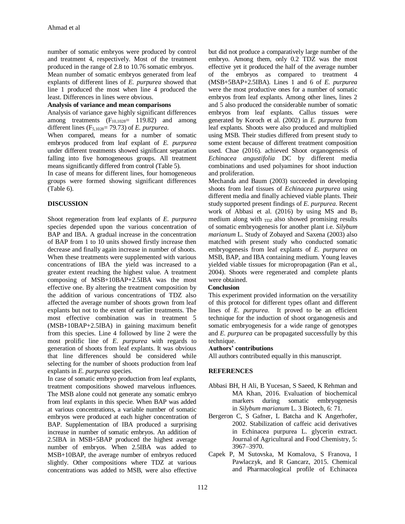number of somatic embryos were produced by control and treatment 4, respectively. Most of the treatment produced in the range of 2.8 to 10.76 somatic embryos.

Mean number of somatic embryos generated from leaf explants of different lines of *E. purpurea* showed that line 1 produced the most when line 4 produced the least. Differences in lines were obvious.

## **Analysis of variance and mean comparisons**

Analysis of variance gave highly significant differences among treatments  $(F_{10,1028}= 119.82)$  and among different lines (F5,1028= 79.73) of *E. purpurea*.

When compared, means for a number of somatic embryos produced from leaf explant of *E. purpurea* under different treatments showed significant separation falling into five homogeneous groups. All treatment means significantly differed from control (Table 5).

In case of means for different lines, four homogeneous groups were formed showing significant differences (Table 6).

## **DISCUSSION**

Shoot regeneration from leaf explants of *E. purpurea* species depended upon the various concentration of BAP and IBA. A gradual increase in the concentration of BAP from 1 to 10 units showed firstly increase then decrease and finally again increase in number of shoots. When these treatments were supplemented with various concentrations of IBA the yield was increased to a greater extent reaching the highest value. A treatment composing of MSB+10BAP+2.5IBA was the most effective one. By altering the treatment composition by the addition of various concentrations of TDZ also affected the average number of shoots grown from leaf explants but not to the extent of earlier treatments. The most effective combination was in treatment 5 (MSB+10BAP+2.5IBA) in gaining maximum benefit from this species. Line 4 followed by line 2 were the most prolific line of *E. purpurea* with regards to generation of shoots from leaf explants. It was obvious that line differences should be considered while selecting for the number of shoots production from leaf explants in *E. purpurea* species.

In case of somatic embryo production from leaf explants, treatment compositions showed marvelous influences. The MSB alone could not generate any somatic embryo from leaf explants in this specie. When BAP was added at various concentrations, a variable number of somatic embryos were produced at each higher concentration of BAP. Supplementation of IBA produced a surprising increase in number of somatic embryos. An addition of 2.5IBA in MSB+5BAP produced the highest average number of embryos. When 2.5IBA was added to MSB+10BAP, the average number of embryos reduced slightly. Other compositions where TDZ at various concentrations was added to MSB, were also effective

but did not produce a comparatively large number of the embryo. Among them, only 0.2 TDZ was the most effective yet it produced the half of the average number of the embryos as compared to treatment 4 (MSB+5BAP+2.5IBA). Lines 1 and 6 of *E. purpurea* were the most productive ones for a number of somatic embryos from leaf explants. Among other lines, lines 2 and 5 also produced the considerable number of somatic embryos from leaf explants. Callus tissues were generated by Koroch et al. (2002) in *E. purpurea* from leaf explants. Shoots were also produced and multiplied using MSB. Their studies differed from present study to some extent because of different treatment composition used. Chae (2016). achieved Shoot organogenesis of *Echinacea angustifolia* DC by different media combinations and used polyamines for shoot induction and proliferation.

Mechanda and Baum (2003) succeeded in developing shoots from leaf tissues of *Echinacea purpurea* using different media and finally achieved viable plants. Their study supported present findings of *E. purpurea*. Recent work of Abbasi et al. (2016) by using MS and  $B_5$ medium along with  $T_{\text{DZ}}$  also showed promising results of somatic embryogenesis for another plant i.e. *Silybum marianum* L. Study of Zobayed and Saxena (2003) also matched with present study who conducted somatic embryogenesis from leaf explants of *E. purpurea* on MSB, BAP, and IBA containing medium. Young leaves yielded viable tissues for micropropagation (Pan et al., 2004). Shoots were regenerated and complete plants were obtained.

## **Conclusion**

This experiment provided information on the versatility of this protocol for different types oflant and different lines of *E. purpurea*. It proved to be an efficient technique for the induction of shoot organogenesis and somatic embryogenesis for a wide range of genotypes and *E. purpurea* can be propagated successfully by this technique.

## **Authors' contributions**

All authors contributed equally in this manuscript.

## **REFERENCES**

- Abbasi BH, H Ali, B Yucesan, S Saeed, K Rehman and MA Khan, 2016. Evaluation of biochemical markers during somatic embryogenesis in *Silybum marianum* L. 3 Biotech, 6: 71.
- Bergeron C, S Gafner, L Batcha and K Angerhofer, 2002. Stabilization of caffeic acid derivatives in Echinacea purpurea L. glycerin extract. Journal of Agricultural and Food Chemistry, 5: 3967–3970.
- Capek P, M Sutovska, M Komalova, S Franova, I Pawlaczyk, and R Gancarz, 2015. Chemical and Pharmacological profile of Echinacea